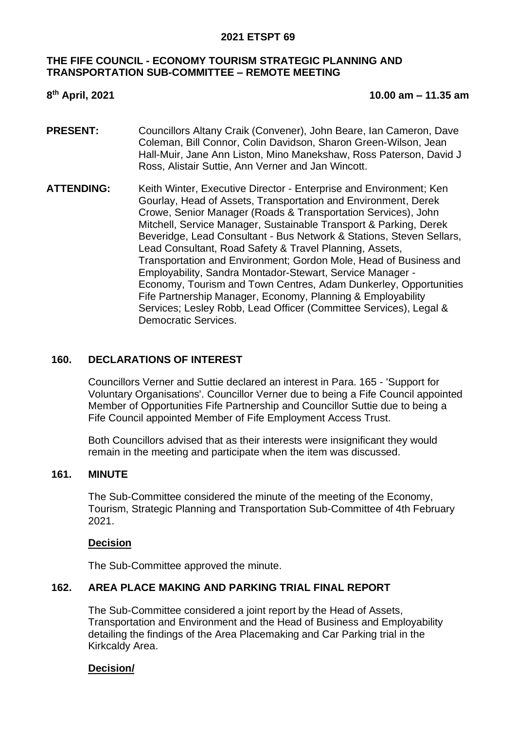### **THE FIFE COUNCIL - ECONOMY TOURISM STRATEGIC PLANNING AND TRANSPORTATION SUB-COMMITTEE – REMOTE MEETING**

## 8<sup>th</sup> April, 2021

#### **th April, 2021 10.00 am – 11.35 am**

- **PRESENT:** Councillors Altany Craik (Convener), John Beare, Ian Cameron, Dave Coleman, Bill Connor, Colin Davidson, Sharon Green-Wilson, Jean Hall-Muir, Jane Ann Liston, Mino Manekshaw, Ross Paterson, David J Ross, Alistair Suttie, Ann Verner and Jan Wincott.
- **ATTENDING:** Keith Winter, Executive Director Enterprise and Environment; Ken Gourlay, Head of Assets, Transportation and Environment, Derek Crowe, Senior Manager (Roads & Transportation Services), John Mitchell, Service Manager, Sustainable Transport & Parking, Derek Beveridge, Lead Consultant - Bus Network & Stations, Steven Sellars, Lead Consultant, Road Safety & Travel Planning, Assets, Transportation and Environment; Gordon Mole, Head of Business and Employability, Sandra Montador-Stewart, Service Manager - Economy, Tourism and Town Centres, Adam Dunkerley, Opportunities Fife Partnership Manager, Economy, Planning & Employability Services; Lesley Robb, Lead Officer (Committee Services), Legal & Democratic Services.

## **160. DECLARATIONS OF INTEREST**

Councillors Verner and Suttie declared an interest in Para. 165 - 'Support for Voluntary Organisations'. Councillor Verner due to being a Fife Council appointed Member of Opportunities Fife Partnership and Councillor Suttie due to being a Fife Council appointed Member of Fife Employment Access Trust.

Both Councillors advised that as their interests were insignificant they would remain in the meeting and participate when the item was discussed.

### **161. MINUTE**

The Sub-Committee considered the minute of the meeting of the Economy, Tourism, Strategic Planning and Transportation Sub-Committee of 4th February 2021.

### **Decision**

The Sub-Committee approved the minute.

### **162. AREA PLACE MAKING AND PARKING TRIAL FINAL REPORT**

The Sub-Committee considered a joint report by the Head of Assets, Transportation and Environment and the Head of Business and Employability detailing the findings of the Area Placemaking and Car Parking trial in the Kirkcaldy Area.

### **Decision/**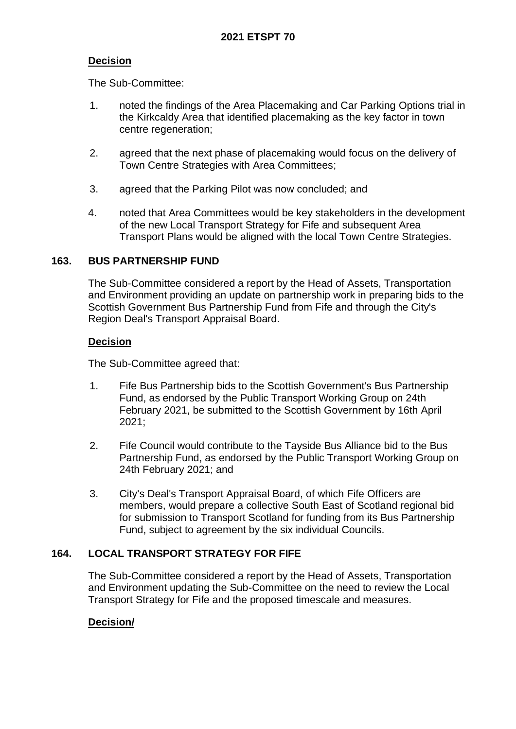# **Decision**

The Sub-Committee:

- 1. noted the findings of the Area Placemaking and Car Parking Options trial in the Kirkcaldy Area that identified placemaking as the key factor in town centre regeneration;
- 2. agreed that the next phase of placemaking would focus on the delivery of Town Centre Strategies with Area Committees;
- 3. agreed that the Parking Pilot was now concluded; and
- 4. noted that Area Committees would be key stakeholders in the development of the new Local Transport Strategy for Fife and subsequent Area Transport Plans would be aligned with the local Town Centre Strategies.

### **163. BUS PARTNERSHIP FUND**

The Sub-Committee considered a report by the Head of Assets, Transportation and Environment providing an update on partnership work in preparing bids to the Scottish Government Bus Partnership Fund from Fife and through the City's Region Deal's Transport Appraisal Board.

#### **Decision**

The Sub-Committee agreed that:

- 1. Fife Bus Partnership bids to the Scottish Government's Bus Partnership Fund, as endorsed by the Public Transport Working Group on 24th February 2021, be submitted to the Scottish Government by 16th April 2021;
- 2. Fife Council would contribute to the Tayside Bus Alliance bid to the Bus Partnership Fund, as endorsed by the Public Transport Working Group on 24th February 2021; and
- 3. City's Deal's Transport Appraisal Board, of which Fife Officers are members, would prepare a collective South East of Scotland regional bid for submission to Transport Scotland for funding from its Bus Partnership Fund, subject to agreement by the six individual Councils.

### **164. LOCAL TRANSPORT STRATEGY FOR FIFE**

The Sub-Committee considered a report by the Head of Assets, Transportation and Environment updating the Sub-Committee on the need to review the Local Transport Strategy for Fife and the proposed timescale and measures.

### **Decision/**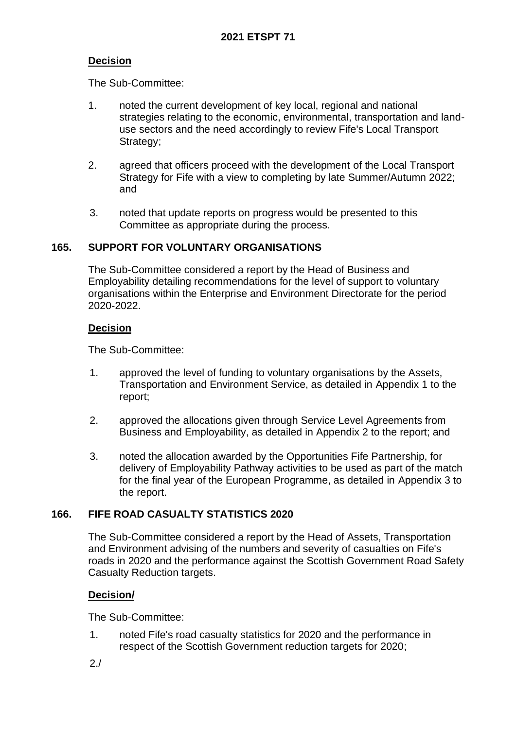# **Decision**

The Sub-Committee:

- 1. noted the current development of key local, regional and national strategies relating to the economic, environmental, transportation and landuse sectors and the need accordingly to review Fife's Local Transport Strategy;
- 2. agreed that officers proceed with the development of the Local Transport Strategy for Fife with a view to completing by late Summer/Autumn 2022; and
- 3. noted that update reports on progress would be presented to this Committee as appropriate during the process.

### **165. SUPPORT FOR VOLUNTARY ORGANISATIONS**

The Sub-Committee considered a report by the Head of Business and Employability detailing recommendations for the level of support to voluntary organisations within the Enterprise and Environment Directorate for the period 2020-2022.

### **Decision**

The Sub-Committee:

- 1. approved the level of funding to voluntary organisations by the Assets, Transportation and Environment Service, as detailed in Appendix 1 to the report;
- 2. approved the allocations given through Service Level Agreements from Business and Employability, as detailed in Appendix 2 to the report; and
- 3. noted the allocation awarded by the Opportunities Fife Partnership, for delivery of Employability Pathway activities to be used as part of the match for the final year of the European Programme, as detailed in Appendix 3 to the report.

### **166. FIFE ROAD CASUALTY STATISTICS 2020**

The Sub-Committee considered a report by the Head of Assets, Transportation and Environment advising of the numbers and severity of casualties on Fife's roads in 2020 and the performance against the Scottish Government Road Safety Casualty Reduction targets.

### **Decision/**

The Sub-Committee:

1. noted Fife's road casualty statistics for 2020 and the performance in respect of the Scottish Government reduction targets for 2020;